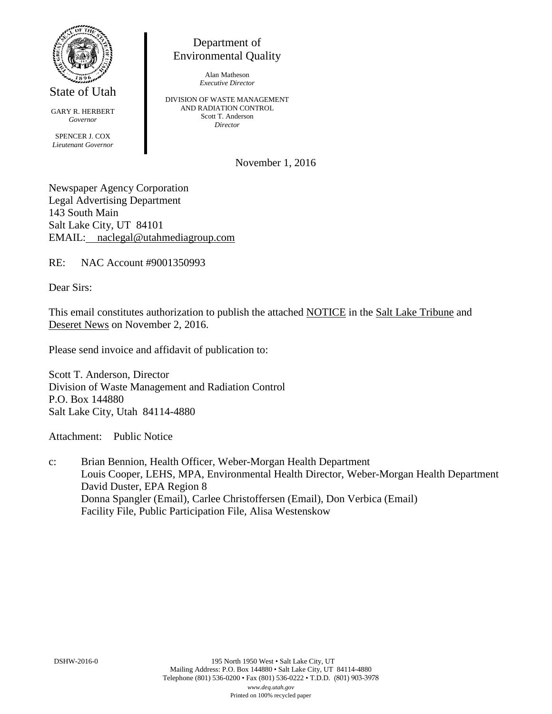

State of Utah

GARY R. HERBERT *Governor* SPENCER J. COX *Lieutenant Governor*

Department of Environmental Quality

> Alan Matheson *Executive Director*

DIVISION OF WASTE MANAGEMENT AND RADIATION CONTROL Scott T. Anderson *Director*

November 1, 2016

Newspaper Agency Corporation Legal Advertising Department 143 South Main Salt Lake City, UT 84101 EMAIL: naclegal@utahmediagroup.com

RE: NAC Account #9001350993

Dear Sirs:

This email constitutes authorization to publish the attached NOTICE in the Salt Lake Tribune and Deseret News on November 2, 2016.

Please send invoice and affidavit of publication to:

Scott T. Anderson, Director Division of Waste Management and Radiation Control P.O. Box 144880 Salt Lake City, Utah 84114-4880

Attachment: Public Notice

c: Brian Bennion, Health Officer, Weber-Morgan Health Department Louis Cooper, LEHS, MPA, Environmental Health Director, Weber-Morgan Health Department David Duster, EPA Region 8 Donna Spangler (Email), Carlee Christoffersen (Email), Don Verbica (Email) Facility File, Public Participation File, Alisa Westenskow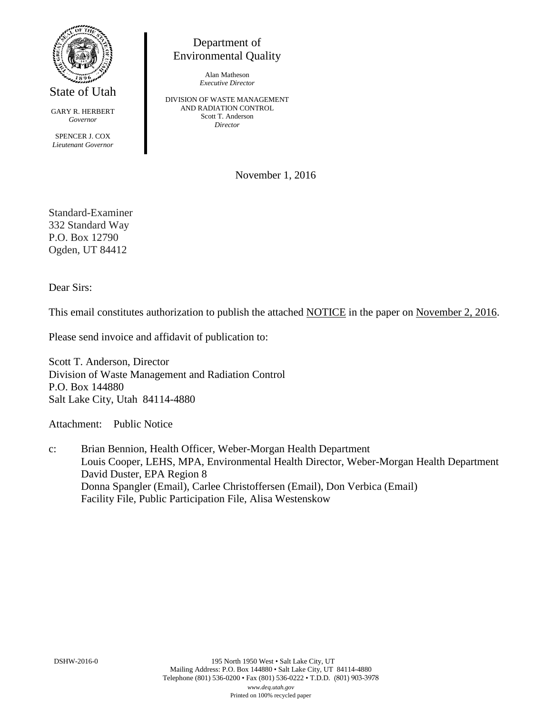

State of Utah

GARY R. HERBERT *Governor* SPENCER J. COX *Lieutenant Governor*

Department of Environmental Quality

> Alan Matheson *Executive Director*

DIVISION OF WASTE MANAGEMENT AND RADIATION CONTROL Scott T. Anderson *Director*

November 1, 2016

Standard-Examiner 332 Standard Way P.O. Box 12790 Ogden, UT 84412

Dear Sirs:

This email constitutes authorization to publish the attached NOTICE in the paper on November 2, 2016.

Please send invoice and affidavit of publication to:

Scott T. Anderson, Director Division of Waste Management and Radiation Control P.O. Box 144880 Salt Lake City, Utah 84114-4880

Attachment: Public Notice

c: Brian Bennion, Health Officer, Weber-Morgan Health Department Louis Cooper, LEHS, MPA, Environmental Health Director, Weber-Morgan Health Department David Duster, EPA Region 8 Donna Spangler (Email), Carlee Christoffersen (Email), Don Verbica (Email) Facility File, Public Participation File, Alisa Westenskow